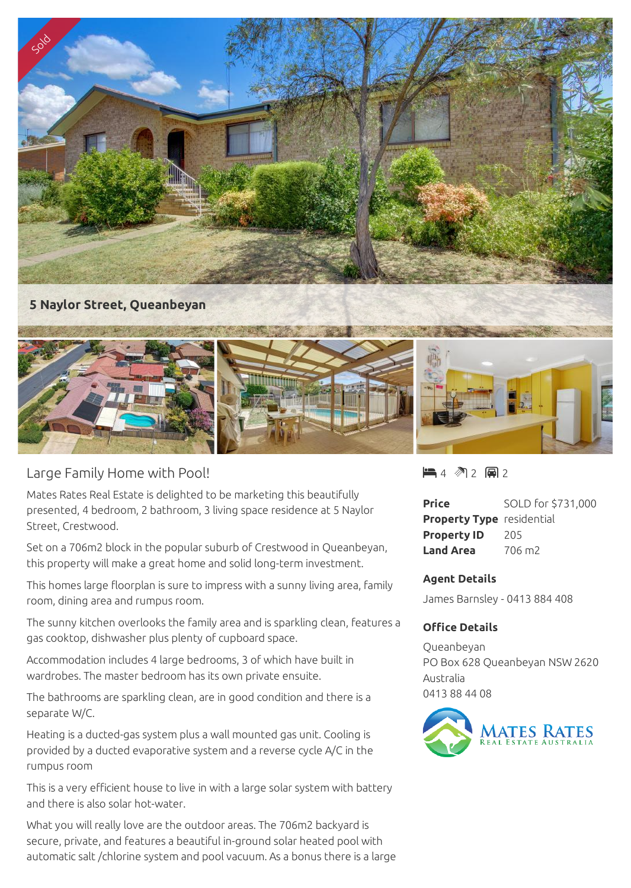

## Large Family Home with Pool!

Mates Rates Real Estate is delighted to be marketing this beautifully presented, 4 bedroom, 2 bathroom, 3 living space residence at 5 Naylor Street, Crestwood.

Set on a 706m2 block in the popular suburb of Crestwood in Queanbeyan, this property will make a great home and solid long-term investment.

This homes large floorplan is sure to impress with a sunny living area, family room, dining area and rumpus room.

The sunny kitchen overlooks the family area and is sparkling clean, features a gas cooktop, dishwasher plus plenty of cupboard space.

Accommodation includes 4 large bedrooms, 3 of which have built in wardrobes. The master bedroom has its own private ensuite.

The bathrooms are sparkling clean, are in good condition and there is a separate W/C.

Heating is a ducted-gas system plus a wall mounted gas unit. Cooling is provided by a ducted evaporative system and a reverse cycle A/C in the rumpus room

This is a very efficient house to live in with a large solar system with battery and there is also solar hot-water.

What you will really love are the outdoor areas. The 706m2 backyard is secure, private, and features a beautiful in-ground solar heated pool with automatic salt /chlorine system and pool vacuum. As a bonus there is a large  $-4$   $-2$   $-2$   $-2$ 

| <b>Price</b>                     | SOLD for \$731,000 |
|----------------------------------|--------------------|
| <b>Property Type</b> residential |                    |
| <b>Property ID</b>               | 205                |
| <b>Land Area</b>                 | 706 m2             |

## **Agent Details**

James Barnsley - 0413 884 408

## **Office Details**

Queanbeyan PO Box 628 Queanbeyan NSW 2620 Australia 0413 88 44 08